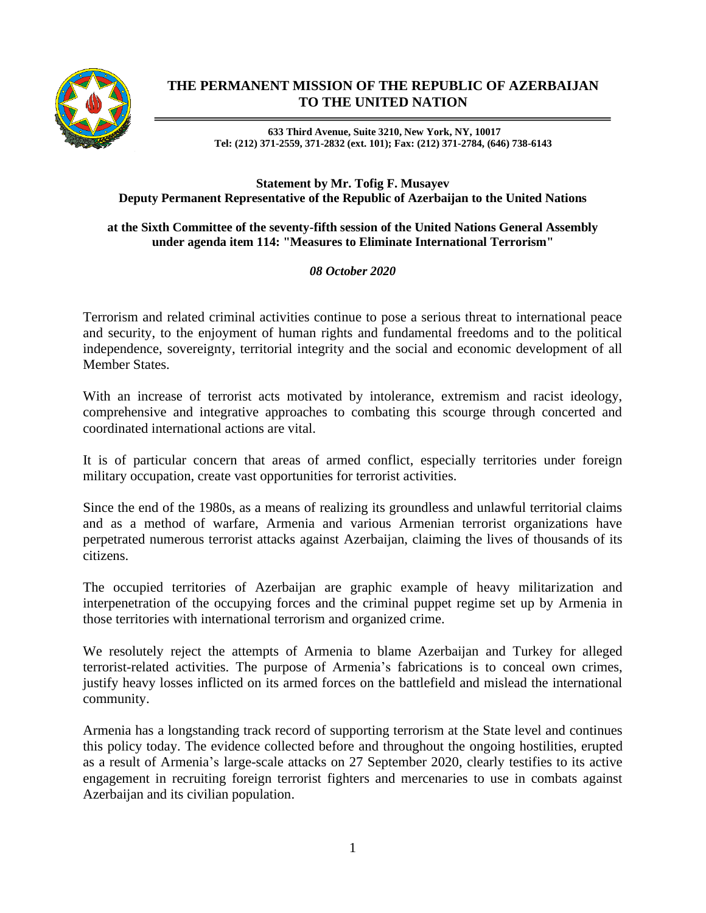

## **THE PERMANENT MISSION OF THE REPUBLIC OF AZERBAIJAN TO THE UNITED NATION**

**633 Third Avenue, Suite 3210, New York, NY, 10017 Tel: (212) 371-2559, 371-2832 (ext. 101); Fax: (212) 371-2784, (646) 738-6143**

## **Statement by Mr. Tofig F. Musayev Deputy Permanent Representative of the Republic of Azerbaijan to the United Nations**

## **at the Sixth Committee of the seventy-fifth session of the United Nations General Assembly under agenda item 114: "Measures to Eliminate International Terrorism"**

## *08 October 2020*

Terrorism and related criminal activities continue to pose a serious threat to international peace and security, to the enjoyment of human rights and fundamental freedoms and to the political independence, sovereignty, territorial integrity and the social and economic development of all Member States.

With an increase of terrorist acts motivated by intolerance, extremism and racist ideology, comprehensive and integrative approaches to combating this scourge through concerted and coordinated international actions are vital.

It is of particular concern that areas of armed conflict, especially territories under foreign military occupation, create vast opportunities for terrorist activities.

Since the end of the 1980s, as a means of realizing its groundless and unlawful territorial claims and as a method of warfare, Armenia and various Armenian terrorist organizations have perpetrated numerous terrorist attacks against Azerbaijan, claiming the lives of thousands of its citizens.

The occupied territories of Azerbaijan are graphic example of heavy militarization and interpenetration of the occupying forces and the criminal puppet regime set up by Armenia in those territories with international terrorism and organized crime.

We resolutely reject the attempts of Armenia to blame Azerbaijan and Turkey for alleged terrorist-related activities. The purpose of Armenia's fabrications is to conceal own crimes, justify heavy losses inflicted on its armed forces on the battlefield and mislead the international community.

Armenia has a longstanding track record of supporting terrorism at the State level and continues this policy today. The evidence collected before and throughout the ongoing hostilities, erupted as a result of Armenia's large-scale attacks on 27 September 2020, clearly testifies to its active engagement in recruiting foreign terrorist fighters and mercenaries to use in combats against Azerbaijan and its civilian population.